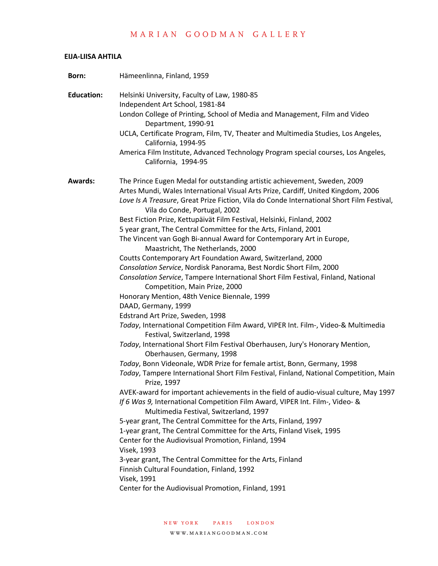### **EIJA-LIISA AHTILA**

| Born:             | Hämeenlinna, Finland, 1959                                                                                                                                                                                      |
|-------------------|-----------------------------------------------------------------------------------------------------------------------------------------------------------------------------------------------------------------|
| <b>Education:</b> | Helsinki University, Faculty of Law, 1980-85<br>Independent Art School, 1981-84                                                                                                                                 |
|                   | London College of Printing, School of Media and Management, Film and Video<br>Department, 1990-91                                                                                                               |
|                   | UCLA, Certificate Program, Film, TV, Theater and Multimedia Studies, Los Angeles,<br>California, 1994-95                                                                                                        |
|                   | America Film Institute, Advanced Technology Program special courses, Los Angeles,<br>California, 1994-95                                                                                                        |
| <b>Awards:</b>    | The Prince Eugen Medal for outstanding artistic achievement, Sweden, 2009                                                                                                                                       |
|                   | Artes Mundi, Wales International Visual Arts Prize, Cardiff, United Kingdom, 2006<br>Love Is A Treasure, Great Prize Fiction, Vila do Conde International Short Film Festival,<br>Vila do Conde, Portugal, 2002 |
|                   | Best Fiction Prize, Kettupäivät Film Festival, Helsinki, Finland, 2002                                                                                                                                          |
|                   | 5 year grant, The Central Committee for the Arts, Finland, 2001                                                                                                                                                 |
|                   | The Vincent van Gogh Bi-annual Award for Contemporary Art in Europe,<br>Maastricht, The Netherlands, 2000                                                                                                       |
|                   | Coutts Contemporary Art Foundation Award, Switzerland, 2000                                                                                                                                                     |
|                   | Consolation Service, Nordisk Panorama, Best Nordic Short Film, 2000                                                                                                                                             |
|                   | Consolation Service, Tampere International Short Film Festival, Finland, National<br>Competition, Main Prize, 2000                                                                                              |
|                   | Honorary Mention, 48th Venice Biennale, 1999                                                                                                                                                                    |
|                   | DAAD, Germany, 1999                                                                                                                                                                                             |
|                   | Edstrand Art Prize, Sweden, 1998                                                                                                                                                                                |
|                   | Today, International Competition Film Award, VIPER Int. Film-, Video-& Multimedia<br>Festival, Switzerland, 1998                                                                                                |
|                   | Today, International Short Film Festival Oberhausen, Jury's Honorary Mention,<br>Oberhausen, Germany, 1998                                                                                                      |
|                   | Today, Bonn Videonale, WDR Prize for female artist, Bonn, Germany, 1998                                                                                                                                         |
|                   | Today, Tampere International Short Film Festival, Finland, National Competition, Main<br>Prize, 1997                                                                                                            |
|                   | AVEK-award for important achievements in the field of audio-visual culture, May 1997<br>If 6 Was 9, International Competition Film Award, VIPER Int. Film-, Video- &<br>Multimedia Festival, Switzerland, 1997  |
|                   | 5-year grant, The Central Committee for the Arts, Finland, 1997                                                                                                                                                 |
|                   | 1-year grant, The Central Committee for the Arts, Finland Visek, 1995                                                                                                                                           |
|                   | Center for the Audiovisual Promotion, Finland, 1994                                                                                                                                                             |
|                   | <b>Visek, 1993</b>                                                                                                                                                                                              |
|                   | 3-year grant, The Central Committee for the Arts, Finland<br>Finnish Cultural Foundation, Finland, 1992                                                                                                         |
|                   | Visek, 1991                                                                                                                                                                                                     |
|                   | Center for the Audiovisual Promotion, Finland, 1991                                                                                                                                                             |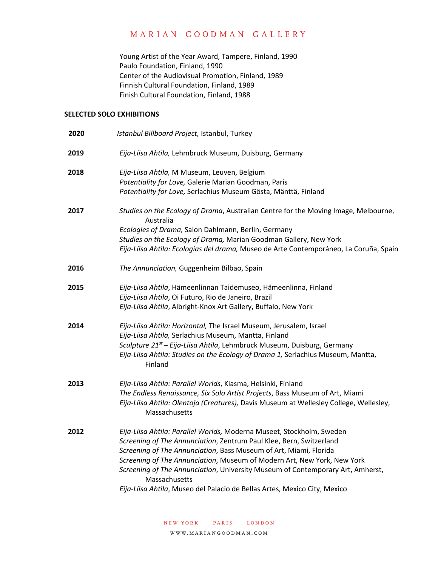Young Artist of the Year Award, Tampere, Finland, 1990 Paulo Foundation, Finland, 1990 Center of the Audiovisual Promotion, Finland, 1989 Finnish Cultural Foundation, Finland, 1989 Finish Cultural Foundation, Finland, 1988

### **SELECTED SOLO EXHIBITIONS**

| Istanbul Billboard Project, Istanbul, Turkey                                                                                                                                                                                                                                                                                                                                                                                                                                 |
|------------------------------------------------------------------------------------------------------------------------------------------------------------------------------------------------------------------------------------------------------------------------------------------------------------------------------------------------------------------------------------------------------------------------------------------------------------------------------|
| Eija-Liisa Ahtila, Lehmbruck Museum, Duisburg, Germany                                                                                                                                                                                                                                                                                                                                                                                                                       |
| Eija-Liisa Ahtila, M Museum, Leuven, Belgium<br>Potentiality for Love, Galerie Marian Goodman, Paris<br>Potentiality for Love, Serlachius Museum Gösta, Mänttä, Finland                                                                                                                                                                                                                                                                                                      |
| Studies on the Ecology of Drama, Australian Centre for the Moving Image, Melbourne,<br>Australia<br>Ecologies of Drama, Salon Dahlmann, Berlin, Germany<br>Studies on the Ecology of Drama, Marian Goodman Gallery, New York<br>Eija-Liisa Ahtila: Ecologías del drama, Museo de Arte Contemporáneo, La Coruña, Spain                                                                                                                                                        |
| The Annunciation, Guggenheim Bilbao, Spain                                                                                                                                                                                                                                                                                                                                                                                                                                   |
| Eija-Liisa Ahtila, Hämeenlinnan Taidemuseo, Hämeenlinna, Finland<br>Eija-Liisa Ahtila, Oi Futuro, Rio de Janeiro, Brazil<br>Eija-Liisa Ahtila, Albright-Knox Art Gallery, Buffalo, New York                                                                                                                                                                                                                                                                                  |
| Eija-Liisa Ahtila: Horizontal, The Israel Museum, Jerusalem, Israel<br>Eija-Liisa Ahtila, Serlachius Museum, Mantta, Finland<br>Sculpture 21 <sup>st</sup> – Eija-Liisa Ahtila, Lehmbruck Museum, Duisburg, Germany<br>Eija-Liisa Ahtila: Studies on the Ecology of Drama 1, Serlachius Museum, Mantta,<br>Finland                                                                                                                                                           |
| Eija-Liisa Ahtila: Parallel Worlds, Kiasma, Helsinki, Finland<br>The Endless Renaissance, Six Solo Artist Projects, Bass Museum of Art, Miami<br>Eija-Liisa Ahtila: Olentoja (Creatures), Davis Museum at Wellesley College, Wellesley,<br>Massachusetts                                                                                                                                                                                                                     |
| Eija-Liisa Ahtila: Parallel Worlds, Moderna Museet, Stockholm, Sweden<br>Screening of The Annunciation, Zentrum Paul Klee, Bern, Switzerland<br>Screening of The Annunciation, Bass Museum of Art, Miami, Florida<br>Screening of The Annunciation, Museum of Modern Art, New York, New York<br>Screening of The Annunciation, University Museum of Contemporary Art, Amherst,<br>Massachusetts<br>Eija-Liisa Ahtila, Museo del Palacio de Bellas Artes, Mexico City, Mexico |
|                                                                                                                                                                                                                                                                                                                                                                                                                                                                              |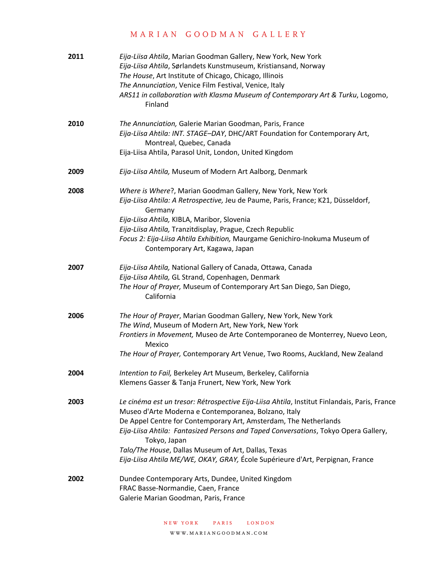| 2011 | Eija-Liisa Ahtila, Marian Goodman Gallery, New York, New York<br>Eija-Liisa Ahtila, Sørlandets Kunstmuseum, Kristiansand, Norway<br>The House, Art Institute of Chicago, Chicago, Illinois<br>The Annunciation, Venice Film Festival, Venice, Italy<br>ARS11 in collaboration with Klasma Museum of Contemporary Art & Turku, Logomo,<br>Finland                                                                                                                         |
|------|--------------------------------------------------------------------------------------------------------------------------------------------------------------------------------------------------------------------------------------------------------------------------------------------------------------------------------------------------------------------------------------------------------------------------------------------------------------------------|
| 2010 | The Annunciation, Galerie Marian Goodman, Paris, France<br>Eija-Liisa Ahtila: INT. STAGE-DAY, DHC/ART Foundation for Contemporary Art,<br>Montreal, Quebec, Canada<br>Eija-Liisa Ahtila, Parasol Unit, London, United Kingdom                                                                                                                                                                                                                                            |
| 2009 | Eija-Liisa Ahtila, Museum of Modern Art Aalborg, Denmark                                                                                                                                                                                                                                                                                                                                                                                                                 |
| 2008 | Where is Where?, Marian Goodman Gallery, New York, New York<br>Eija-Liisa Ahtila: A Retrospective, Jeu de Paume, Paris, France; K21, Düsseldorf,<br>Germany<br>Eija-Liisa Ahtila, KIBLA, Maribor, Slovenia<br>Eija-Liisa Ahtila, Tranzitdisplay, Prague, Czech Republic<br>Focus 2: Eija-Liisa Ahtila Exhibition, Maurgame Genichiro-Inokuma Museum of<br>Contemporary Art, Kagawa, Japan                                                                                |
| 2007 | Eija-Liisa Ahtila, National Gallery of Canada, Ottawa, Canada<br>Eija-Liisa Ahtila, GL Strand, Copenhagen, Denmark<br>The Hour of Prayer, Museum of Contemporary Art San Diego, San Diego,<br>California                                                                                                                                                                                                                                                                 |
| 2006 | The Hour of Prayer, Marian Goodman Gallery, New York, New York<br>The Wind, Museum of Modern Art, New York, New York<br>Frontiers in Movement, Museo de Arte Contemporaneo de Monterrey, Nuevo Leon,<br>Mexico<br>The Hour of Prayer, Contemporary Art Venue, Two Rooms, Auckland, New Zealand                                                                                                                                                                           |
| 2004 | Intention to Fail, Berkeley Art Museum, Berkeley, California<br>Klemens Gasser & Tanja Frunert, New York, New York                                                                                                                                                                                                                                                                                                                                                       |
| 2003 | Le cinéma est un tresor: Rétrospective Eija-Liisa Ahtila, Institut Finlandais, Paris, France<br>Museo d'Arte Moderna e Contemporanea, Bolzano, Italy<br>De Appel Centre for Contemporary Art, Amsterdam, The Netherlands<br>Eija-Liisa Ahtila: Fantasized Persons and Taped Conversations, Tokyo Opera Gallery,<br>Tokyo, Japan<br>Talo/The House, Dallas Museum of Art, Dallas, Texas<br>Eija-Liisa Ahtila ME/WE, OKAY, GRAY, École Supérieure d'Art, Perpignan, France |
| 2002 | Dundee Contemporary Arts, Dundee, United Kingdom<br>FRAC Basse-Normandie, Caen, France<br>Galerie Marian Goodman, Paris, France                                                                                                                                                                                                                                                                                                                                          |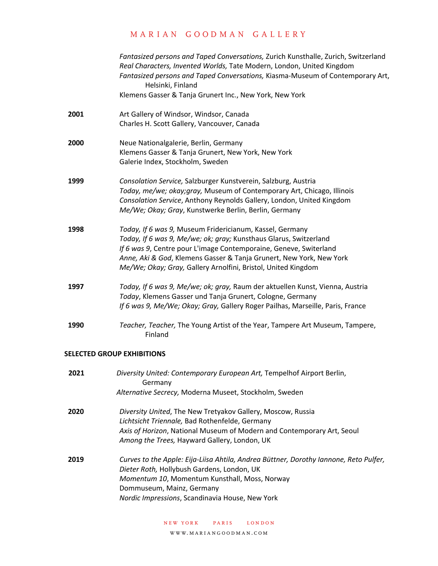|      | Fantasized persons and Taped Conversations, Zurich Kunsthalle, Zurich, Switzerland<br>Real Characters, Invented Worlds, Tate Modern, London, United Kingdom<br>Fantasized persons and Taped Conversations, Kiasma-Museum of Contemporary Art,<br>Helsinki, Finland                                                                         |
|------|--------------------------------------------------------------------------------------------------------------------------------------------------------------------------------------------------------------------------------------------------------------------------------------------------------------------------------------------|
|      | Klemens Gasser & Tanja Grunert Inc., New York, New York                                                                                                                                                                                                                                                                                    |
| 2001 | Art Gallery of Windsor, Windsor, Canada<br>Charles H. Scott Gallery, Vancouver, Canada                                                                                                                                                                                                                                                     |
| 2000 | Neue Nationalgalerie, Berlin, Germany<br>Klemens Gasser & Tanja Grunert, New York, New York<br>Galerie Index, Stockholm, Sweden                                                                                                                                                                                                            |
| 1999 | Consolation Service, Salzburger Kunstverein, Salzburg, Austria<br>Today, me/we; okay; gray, Museum of Contemporary Art, Chicago, Illinois<br>Consolation Service, Anthony Reynolds Gallery, London, United Kingdom<br>Me/We; Okay; Gray, Kunstwerke Berlin, Berlin, Germany                                                                |
| 1998 | Today, If 6 was 9, Museum Fridericianum, Kassel, Germany<br>Today, If 6 was 9, Me/we; ok; gray; Kunsthaus Glarus, Switzerland<br>If 6 was 9, Centre pour L'image Contemporaine, Geneve, Switerland<br>Anne, Aki & God, Klemens Gasser & Tanja Grunert, New York, New York<br>Me/We; Okay; Gray, Gallery Arnolfini, Bristol, United Kingdom |
| 1997 | Today, If 6 was 9, Me/we; ok; gray, Raum der aktuellen Kunst, Vienna, Austria<br>Today, Klemens Gasser und Tanja Grunert, Cologne, Germany<br>If 6 was 9, Me/We; Okay; Gray, Gallery Roger Pailhas, Marseille, Paris, France                                                                                                               |
| 1990 | Teacher, Teacher, The Young Artist of the Year, Tampere Art Museum, Tampere,<br>Finland                                                                                                                                                                                                                                                    |

### **SELECTED GROUP EXHIBITIONS**

| 2021 | Diversity United: Contemporary European Art, Tempelhof Airport Berlin,<br>Germany                                                                                                                                                                                    |
|------|----------------------------------------------------------------------------------------------------------------------------------------------------------------------------------------------------------------------------------------------------------------------|
|      | Alternative Secrecy, Moderna Museet, Stockholm, Sweden                                                                                                                                                                                                               |
| 2020 | Diversity United, The New Tretyakov Gallery, Moscow, Russia<br>Lichtsicht Triennale, Bad Rothenfelde, Germany<br>Axis of Horizon, National Museum of Modern and Contemporary Art, Seoul<br>Among the Trees, Hayward Gallery, London, UK                              |
| 2019 | Curves to the Apple: Eija-Liisa Ahtila, Andrea Büttner, Dorothy Iannone, Reto Pulfer,<br>Dieter Roth, Hollybush Gardens, London, UK<br>Momentum 10, Momentum Kunsthall, Moss, Norway<br>Dommuseum, Mainz, Germany<br>Nordic Impressions, Scandinavia House, New York |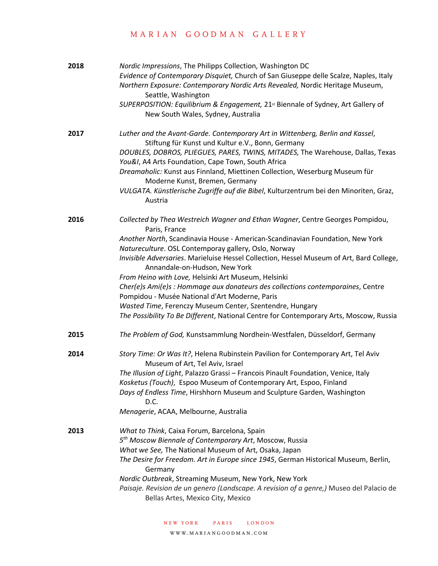| 2018 | Nordic Impressions, The Philipps Collection, Washington DC<br>Evidence of Contemporary Disquiet, Church of San Giuseppe delle Scalze, Naples, Italy<br>Northern Exposure: Contemporary Nordic Arts Revealed, Nordic Heritage Museum,<br>Seattle, Washington<br>SUPERPOSITION: Equilibrium & Engagement, 21 <sup>st</sup> Biennale of Sydney, Art Gallery of<br>New South Wales, Sydney, Australia                                                                                                                                                                                                                                                                                                                      |
|------|------------------------------------------------------------------------------------------------------------------------------------------------------------------------------------------------------------------------------------------------------------------------------------------------------------------------------------------------------------------------------------------------------------------------------------------------------------------------------------------------------------------------------------------------------------------------------------------------------------------------------------------------------------------------------------------------------------------------|
| 2017 | Luther and the Avant-Garde. Contemporary Art in Wittenberg, Berlin and Kassel,<br>Stiftung für Kunst und Kultur e.V., Bonn, Germany<br>DOUBLES, DOBROS, PLIEGUES, PARES, TWINS, MITADES, The Warehouse, Dallas, Texas<br>You&I, A4 Arts Foundation, Cape Town, South Africa<br>Dreamaholic: Kunst aus Finnland, Miettinen Collection, Weserburg Museum für<br>Moderne Kunst, Bremen, Germany<br>VULGATA. Künstlerische Zugriffe auf die Bibel, Kulturzentrum bei den Minoriten, Graz,<br>Austria                                                                                                                                                                                                                       |
| 2016 | Collected by Thea Westreich Wagner and Ethan Wagner, Centre Georges Pompidou,<br>Paris, France<br>Another North, Scandinavia House - American-Scandinavian Foundation, New York<br>Natureculture. OSL Contemporay gallery, Oslo, Norway<br>Invisible Adversaries. Marieluise Hessel Collection, Hessel Museum of Art, Bard College,<br>Annandale-on-Hudson, New York<br>From Heino with Love, Helsinki Art Museum, Helsinki<br>Cher(e)s Ami(e)s : Hommage aux donateurs des collections contemporaines, Centre<br>Pompidou - Musée National d'Art Moderne, Paris<br>Wasted Time, Ferenczy Museum Center, Szentendre, Hungary<br>The Possibility To Be Different, National Centre for Contemporary Arts, Moscow, Russia |
| 2015 | The Problem of God, Kunstsammlung Nordhein-Westfalen, Düsseldorf, Germany                                                                                                                                                                                                                                                                                                                                                                                                                                                                                                                                                                                                                                              |
| 2014 | Story Time: Or Was It?, Helena Rubinstein Pavilion for Contemporary Art, Tel Aviv<br>Museum of Art, Tel Aviv, Israel<br>The Illusion of Light, Palazzo Grassi - Francois Pinault Foundation, Venice, Italy<br>Kosketus (Touch), Espoo Museum of Contemporary Art, Espoo, Finland<br>Days of Endless Time, Hirshhorn Museum and Sculpture Garden, Washington<br>D.C.<br>Menagerie, ACAA, Melbourne, Australia                                                                                                                                                                                                                                                                                                           |
| 2013 | What to Think, Caixa Forum, Barcelona, Spain<br>5 <sup>th</sup> Moscow Biennale of Contemporary Art, Moscow, Russia<br>What we See, The National Museum of Art, Osaka, Japan<br>The Desire for Freedom. Art in Europe since 1945, German Historical Museum, Berlin,<br>Germany<br>Nordic Outbreak, Streaming Museum, New York, New York<br>Paisaje. Revision de un genero (Landscape. A revision of a genre,) Museo del Palacio de<br>Bellas Artes, Mexico City, Mexico                                                                                                                                                                                                                                                |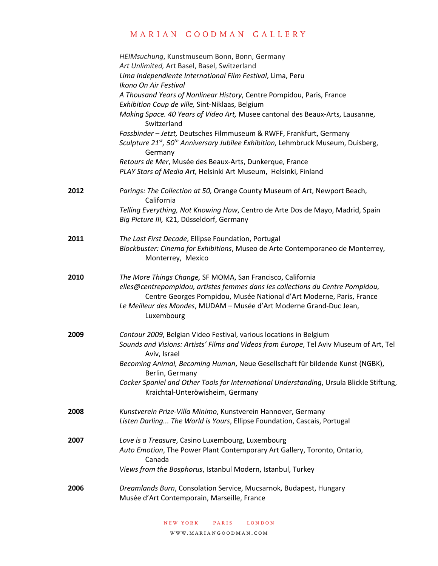|      | HEIMsuchung, Kunstmuseum Bonn, Bonn, Germany                                                                                                                                                |
|------|---------------------------------------------------------------------------------------------------------------------------------------------------------------------------------------------|
|      | Art Unlimited, Art Basel, Basel, Switzerland                                                                                                                                                |
|      | Lima Independiente International Film Festival, Lima, Peru                                                                                                                                  |
|      | Ikono On Air Festival                                                                                                                                                                       |
|      | A Thousand Years of Nonlinear History, Centre Pompidou, Paris, France                                                                                                                       |
|      | Exhibition Coup de ville, Sint-Niklaas, Belgium                                                                                                                                             |
|      | Making Space. 40 Years of Video Art, Musee cantonal des Beaux-Arts, Lausanne,<br>Switzerland                                                                                                |
|      |                                                                                                                                                                                             |
|      | Fassbinder - Jetzt, Deutsches Filmmuseum & RWFF, Frankfurt, Germany<br>Sculpture 21 <sup>st</sup> , 50 <sup>th</sup> Anniversary Jubilee Exhibition, Lehmbruck Museum, Duisberg,<br>Germany |
|      | Retours de Mer, Musée des Beaux-Arts, Dunkerque, France                                                                                                                                     |
|      | PLAY Stars of Media Art, Helsinki Art Museum, Helsinki, Finland                                                                                                                             |
|      |                                                                                                                                                                                             |
| 2012 | Parings: The Collection at 50, Orange County Museum of Art, Newport Beach,<br>California                                                                                                    |
|      | Telling Everything, Not Knowing How, Centro de Arte Dos de Mayo, Madrid, Spain                                                                                                              |
|      | Big Picture III, K21, Düsseldorf, Germany                                                                                                                                                   |
|      |                                                                                                                                                                                             |
| 2011 | The Last First Decade, Ellipse Foundation, Portugal                                                                                                                                         |
|      | Blockbuster: Cinema for Exhibitions, Museo de Arte Contemporaneo de Monterrey,                                                                                                              |
|      | Monterrey, Mexico                                                                                                                                                                           |
|      |                                                                                                                                                                                             |
| 2010 | The More Things Change, SF MOMA, San Francisco, California                                                                                                                                  |
|      | elles@centrepompidou, artistes femmes dans les collections du Centre Pompidou,                                                                                                              |
|      | Centre Georges Pompidou, Musée National d'Art Moderne, Paris, France                                                                                                                        |
|      | Le Meilleur des Mondes, MUDAM - Musée d'Art Moderne Grand-Duc Jean,                                                                                                                         |
|      | Luxembourg                                                                                                                                                                                  |
|      |                                                                                                                                                                                             |
| 2009 | Contour 2009, Belgian Video Festival, various locations in Belgium                                                                                                                          |
|      | Sounds and Visions: Artists' Films and Videos from Europe, Tel Aviv Museum of Art, Tel                                                                                                      |
|      | Aviv, Israel                                                                                                                                                                                |
|      | Becoming Animal, Becoming Human, Neue Gesellschaft für bildende Kunst (NGBK),                                                                                                               |
|      | Berlin, Germany                                                                                                                                                                             |
|      | Cocker Spaniel and Other Tools for International Understanding, Ursula Blickle Stiftung,                                                                                                    |
|      | Kraichtal-Unteröwisheim, Germany                                                                                                                                                            |
|      |                                                                                                                                                                                             |
| 2008 | Kunstverein Prize-Villa Minimo, Kunstverein Hannover, Germany                                                                                                                               |
|      | Listen Darling The World is Yours, Ellipse Foundation, Cascais, Portugal                                                                                                                    |
|      |                                                                                                                                                                                             |
| 2007 | Love is a Treasure, Casino Luxembourg, Luxembourg                                                                                                                                           |
|      | Auto Emotion, The Power Plant Contemporary Art Gallery, Toronto, Ontario,                                                                                                                   |
|      | Canada                                                                                                                                                                                      |
|      | Views from the Bosphorus, Istanbul Modern, Istanbul, Turkey                                                                                                                                 |
|      |                                                                                                                                                                                             |
| 2006 | Dreamlands Burn, Consolation Service, Mucsarnok, Budapest, Hungary                                                                                                                          |
|      | Musée d'Art Contemporain, Marseille, France                                                                                                                                                 |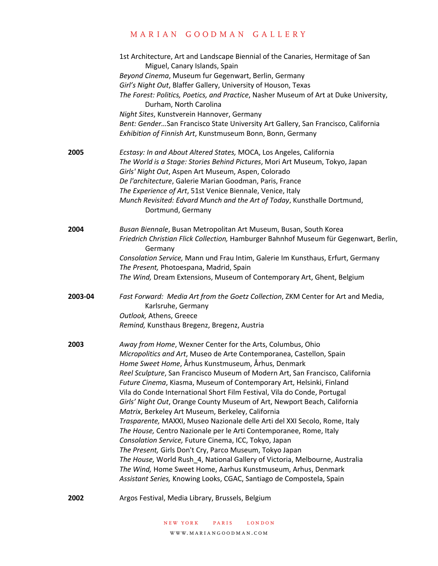|         | 1st Architecture, Art and Landscape Biennial of the Canaries, Hermitage of San<br>Miguel, Canary Islands, Spain                                       |
|---------|-------------------------------------------------------------------------------------------------------------------------------------------------------|
|         | Beyond Cinema, Museum fur Gegenwart, Berlin, Germany                                                                                                  |
|         | Girl's Night Out, Blaffer Gallery, University of Houson, Texas                                                                                        |
|         | The Forest: Politics, Poetics, and Practice, Nasher Museum of Art at Duke University,<br>Durham, North Carolina                                       |
|         | Night Sites, Kunstverein Hannover, Germany                                                                                                            |
|         | Bent: Gender San Francisco State University Art Gallery, San Francisco, California                                                                    |
|         | Exhibition of Finnish Art, Kunstmuseum Bonn, Bonn, Germany                                                                                            |
| 2005    | Ecstasy: In and About Altered States, MOCA, Los Angeles, California                                                                                   |
|         | The World is a Stage: Stories Behind Pictures, Mori Art Museum, Tokyo, Japan                                                                          |
|         | Girls' Night Out, Aspen Art Museum, Aspen, Colorado                                                                                                   |
|         | De l'architecture, Galerie Marian Goodman, Paris, France                                                                                              |
|         | The Experience of Art, 51st Venice Biennale, Venice, Italy                                                                                            |
|         | Munch Revisited: Edvard Munch and the Art of Today, Kunsthalle Dortmund,<br>Dortmund, Germany                                                         |
| 2004    | Busan Biennale, Busan Metropolitan Art Museum, Busan, South Korea                                                                                     |
|         | Friedrich Christian Flick Collection, Hamburger Bahnhof Museum für Gegenwart, Berlin,<br>Germany                                                      |
|         | Consolation Service, Mann und Frau Intim, Galerie Im Kunsthaus, Erfurt, Germany<br>The Present, Photoespana, Madrid, Spain                            |
|         | The Wind, Dream Extensions, Museum of Contemporary Art, Ghent, Belgium                                                                                |
| 2003-04 | Fast Forward: Media Art from the Goetz Collection, ZKM Center for Art and Media,<br>Karlsruhe, Germany                                                |
|         | Outlook, Athens, Greece                                                                                                                               |
|         | Remind, Kunsthaus Bregenz, Bregenz, Austria                                                                                                           |
| 2003    | Away from Home, Wexner Center for the Arts, Columbus, Ohio                                                                                            |
|         | Micropolitics and Art, Museo de Arte Contemporanea, Castellon, Spain                                                                                  |
|         | Home Sweet Home, Århus Kunstmuseum, Århus, Denmark                                                                                                    |
|         | Reel Sculpture, San Francisco Museum of Modern Art, San Francisco, California<br>Future Cinema, Kiasma, Museum of Contemporary Art, Helsinki, Finland |
|         | Vila do Conde International Short Film Festival, Vila do Conde, Portugal                                                                              |
|         | Girls' Night Out, Orange County Museum of Art, Newport Beach, California                                                                              |
|         | Matrix, Berkeley Art Museum, Berkeley, California                                                                                                     |
|         | Trasparente, MAXXI, Museo Nazionale delle Arti del XXI Secolo, Rome, Italy                                                                            |
|         | The House, Centro Nazionale per le Arti Contemporanee, Rome, Italy                                                                                    |
|         | Consolation Service, Future Cinema, ICC, Tokyo, Japan                                                                                                 |
|         | The Present, Girls Don't Cry, Parco Museum, Tokyo Japan                                                                                               |
|         | The House, World Rush_4, National Gallery of Victoria, Melbourne, Australia                                                                           |
|         | The Wind, Home Sweet Home, Aarhus Kunstmuseum, Arhus, Denmark                                                                                         |
|         | Assistant Series, Knowing Looks, CGAC, Santiago de Compostela, Spain                                                                                  |
|         |                                                                                                                                                       |

**2002** Argos Festival, Media Library, Brussels, Belgium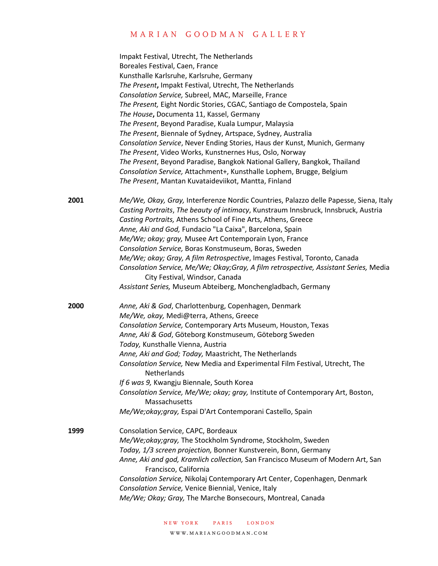|      | Impakt Festival, Utrecht, The Netherlands                                                                              |
|------|------------------------------------------------------------------------------------------------------------------------|
|      | Boreales Festival, Caen, France                                                                                        |
|      | Kunsthalle Karlsruhe, Karlsruhe, Germany                                                                               |
|      | The Present, Impakt Festival, Utrecht, The Netherlands                                                                 |
|      | Consolation Service, Subreel, MAC, Marseille, France                                                                   |
|      | The Present, Eight Nordic Stories, CGAC, Santiago de Compostela, Spain                                                 |
|      | The House, Documenta 11, Kassel, Germany                                                                               |
|      | The Present, Beyond Paradise, Kuala Lumpur, Malaysia                                                                   |
|      | The Present, Biennale of Sydney, Artspace, Sydney, Australia                                                           |
|      | Consolation Service, Never Ending Stories, Haus der Kunst, Munich, Germany                                             |
|      | The Present, Video Works, Kunstnernes Hus, Oslo, Norway                                                                |
|      | The Present, Beyond Paradise, Bangkok National Gallery, Bangkok, Thailand                                              |
|      | Consolation Service, Attachment+, Kunsthalle Lophem, Brugge, Belgium                                                   |
|      | The Present, Mantan Kuvataideviikot, Mantta, Finland                                                                   |
| 2001 | Me/We, Okay, Gray, Interferenze Nordic Countries, Palazzo delle Papesse, Siena, Italy                                  |
|      | Casting Portraits, The beauty of intimacy, Kunstraum Innsbruck, Innsbruck, Austria                                     |
|      | Casting Portraits, Athens School of Fine Arts, Athens, Greece                                                          |
|      | Anne, Aki and God, Fundacio "La Caixa", Barcelona, Spain                                                               |
|      | Me/We; okay; gray, Musee Art Contemporain Lyon, France                                                                 |
|      | Consolation Service, Boras Konstmuseum, Boras, Sweden                                                                  |
|      | Me/We; okay; Gray, A film Retrospective, Images Festival, Toronto, Canada                                              |
|      | Consolation Service, Me/We; Okay;Gray, A film retrospective, Assistant Series, Media<br>City Festival, Windsor, Canada |
|      | Assistant Series, Museum Abteiberg, Monchengladbach, Germany                                                           |
| 2000 | Anne, Aki & God, Charlottenburg, Copenhagen, Denmark                                                                   |
|      | Me/We, okay, Medi@terra, Athens, Greece                                                                                |
|      | Consolation Service, Contemporary Arts Museum, Houston, Texas                                                          |
|      | Anne, Aki & God, Göteborg Konstmuseum, Göteborg Sweden                                                                 |
|      | Today, Kunsthalle Vienna, Austria                                                                                      |
|      | Anne, Aki and God; Today, Maastricht, The Netherlands                                                                  |
|      | Consolation Service, New Media and Experimental Film Festival, Utrecht, The                                            |
|      | Netherlands                                                                                                            |
|      | If 6 was 9, Kwangju Biennale, South Korea                                                                              |
|      | Consolation Service, Me/We; okay; gray, Institute of Contemporary Art, Boston,<br>Massachusetts                        |
|      | Me/We;okay;gray, Espai D'Art Contemporani Castello, Spain                                                              |
| 1999 | Consolation Service, CAPC, Bordeaux                                                                                    |
|      | Me/We;okay;gray, The Stockholm Syndrome, Stockholm, Sweden                                                             |
|      | Today, 1/3 screen projection, Bonner Kunstverein, Bonn, Germany                                                        |
|      | Anne, Aki and god, Kramlich collection, San Francisco Museum of Modern Art, San<br>Francisco, California               |
|      | Consolation Service, Nikolaj Contemporary Art Center, Copenhagen, Denmark                                              |
|      | Consolation Service, Venice Biennial, Venice, Italy                                                                    |
|      | Me/We; Okay; Gray, The Marche Bonsecours, Montreal, Canada                                                             |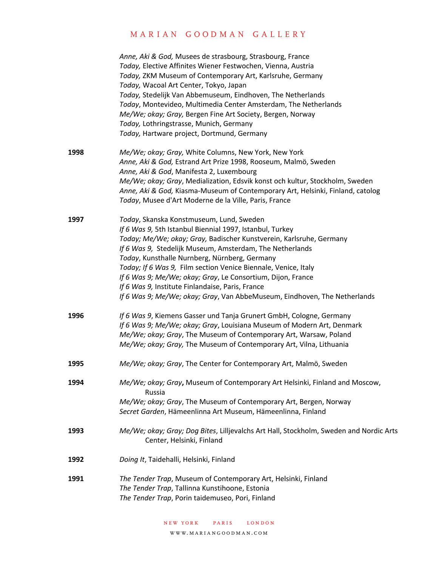|      | Anne, Aki & God, Musees de strasbourg, Strasbourg, France<br>Today, Elective Affinites Wiener Festwochen, Vienna, Austria<br>Today, ZKM Museum of Contemporary Art, Karlsruhe, Germany<br>Today, Wacoal Art Center, Tokyo, Japan<br>Today, Stedelijk Van Abbemuseum, Eindhoven, The Netherlands<br>Today, Montevideo, Multimedia Center Amsterdam, The Netherlands<br>Me/We; okay; Gray, Bergen Fine Art Society, Bergen, Norway<br>Today, Lothringstrasse, Munich, Germany<br>Today, Hartware project, Dortmund, Germany                                  |
|------|------------------------------------------------------------------------------------------------------------------------------------------------------------------------------------------------------------------------------------------------------------------------------------------------------------------------------------------------------------------------------------------------------------------------------------------------------------------------------------------------------------------------------------------------------------|
| 1998 | Me/We; okay; Gray, White Columns, New York, New York<br>Anne, Aki & God, Estrand Art Prize 1998, Rooseum, Malmö, Sweden<br>Anne, Aki & God, Manifesta 2, Luxembourg<br>Me/We; okay; Gray, Medialization, Edsvik konst och kultur, Stockholm, Sweden<br>Anne, Aki & God, Kiasma-Museum of Contemporary Art, Helsinki, Finland, catolog<br>Today, Musee d'Art Moderne de la Ville, Paris, France                                                                                                                                                             |
| 1997 | Today, Skanska Konstmuseum, Lund, Sweden<br>If 6 Was 9, 5th Istanbul Biennial 1997, Istanbul, Turkey<br>Today; Me/We; okay; Gray, Badischer Kunstverein, Karlsruhe, Germany<br>If 6 Was 9, Stedelijk Museum, Amsterdam, The Netherlands<br>Today, Kunsthalle Nurnberg, Nürnberg, Germany<br>Today; If 6 Was 9, Film section Venice Biennale, Venice, Italy<br>If 6 Was 9; Me/We; okay; Gray, Le Consortium, Dijon, France<br>If 6 Was 9, Institute Finlandaise, Paris, France<br>If 6 Was 9; Me/We; okay; Gray, Van AbbeMuseum, Eindhoven, The Netherlands |
| 1996 | If 6 Was 9, Kiemens Gasser und Tanja Grunert GmbH, Cologne, Germany<br>If 6 Was 9; Me/We; okay; Gray, Louisiana Museum of Modern Art, Denmark<br>Me/We; okay; Gray, The Museum of Contemporary Art, Warsaw, Poland<br>Me/We; okay; Gray, The Museum of Contemporary Art, Vilna, Lithuania                                                                                                                                                                                                                                                                  |
| 1995 | Me/We; okay; Gray, The Center for Contemporary Art, Malmö, Sweden                                                                                                                                                                                                                                                                                                                                                                                                                                                                                          |
| 1994 | Me/We; okay; Gray, Museum of Contemporary Art Helsinki, Finland and Moscow,<br>Russia<br>Me/We; okay; Gray, The Museum of Contemporary Art, Bergen, Norway<br>Secret Garden, Hämeenlinna Art Museum, Hämeenlinna, Finland                                                                                                                                                                                                                                                                                                                                  |
| 1993 | Me/We; okay; Gray; Dog Bites, Lilljevalchs Art Hall, Stockholm, Sweden and Nordic Arts<br>Center, Helsinki, Finland                                                                                                                                                                                                                                                                                                                                                                                                                                        |
| 1992 | Doing It, Taidehalli, Helsinki, Finland                                                                                                                                                                                                                                                                                                                                                                                                                                                                                                                    |
| 1991 | The Tender Trap, Museum of Contemporary Art, Helsinki, Finland<br>The Tender Trap, Tallinna Kunstihoone, Estonia<br>The Tender Trap, Porin taidemuseo, Pori, Finland                                                                                                                                                                                                                                                                                                                                                                                       |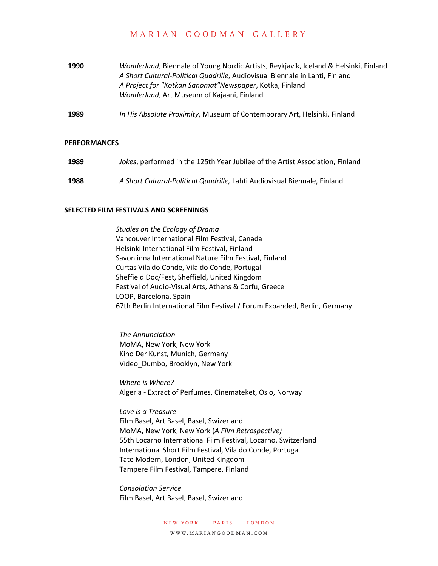- **1990** *Wonderland*, Biennale of Young Nordic Artists, Reykjavik, Iceland & Helsinki, Finland *A Short Cultural-Political Quadrille*, Audiovisual Biennale in Lahti, Finland *A Project for "Kotkan Sanomat"Newspaper*, Kotka, Finland *Wonderland*, Art Museum of Kajaani, Finland
- **1989** *In His Absolute Proximity*, Museum of Contemporary Art, Helsinki, Finland

### **PERFORMANCES**

**1989** *Jokes*, performed in the 125th Year Jubilee of the Artist Association, Finland **1988** *A Short Cultural-Political Quadrille,* Lahti Audiovisual Biennale, Finland

#### **SELECTED FILM FESTIVALS AND SCREENINGS**

*Studies on the Ecology of Drama* Vancouver International Film Festival, Canada Helsinki International Film Festival, Finland Savonlinna International Nature Film Festival, Finland Curtas Vila do Conde, Vila do Conde, Portugal Sheffield Doc/Fest, Sheffield, United Kingdom Festival of Audio-Visual Arts, Athens & Corfu, Greece LOOP, Barcelona, Spain 67th Berlin International Film Festival / Forum Expanded, Berlin, Germany

*The Annunciation* MoMA, New York, New York Kino Der Kunst, Munich, Germany Video\_Dumbo, Brooklyn, New York

*Where is Where?* Algeria - Extract of Perfumes, Cinemateket, Oslo, Norway

*Love is a Treasure* Film Basel, Art Basel, Basel, Swizerland MoMA, New York, New York (*A Film Retrospective)* 55th Locarno International Film Festival, Locarno, Switzerland International Short Film Festival, Vila do Conde, Portugal Tate Modern, London, United Kingdom Tampere Film Festival, Tampere, Finland

*Consolation Service* Film Basel, Art Basel, Basel, Swizerland

> new york paris london www.mariangoodman.com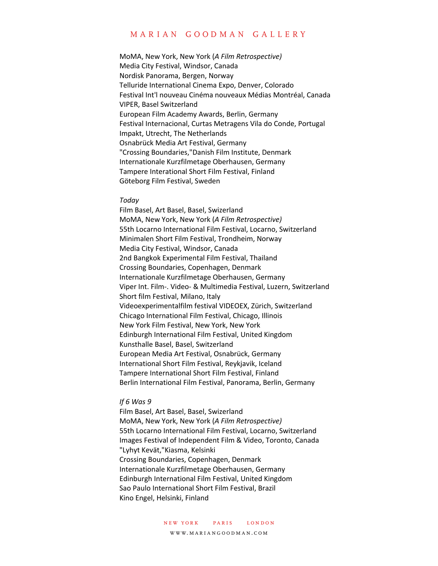MoMA, New York, New York (*A Film Retrospective)* Media City Festival, Windsor, Canada Nordisk Panorama, Bergen, Norway Telluride International Cinema Expo, Denver, Colorado Festival Int'l nouveau Cinéma nouveaux Médias Montréal, Canada VIPER, Basel Switzerland European Film Academy Awards, Berlin, Germany Festival Internacional, Curtas Metragens Vila do Conde, Portugal Impakt, Utrecht, The Netherlands Osnabrück Media Art Festival, Germany "Crossing Boundaries,"Danish Film Institute, Denmark Internationale Kurzfilmetage Oberhausen, Germany Tampere Interational Short Film Festival, Finland Göteborg Film Festival, Sweden

#### *Today*

Film Basel, Art Basel, Basel, Swizerland MoMA, New York, New York (*A Film Retrospective)* 55th Locarno International Film Festival, Locarno, Switzerland Minimalen Short Film Festival, Trondheim, Norway Media City Festival, Windsor, Canada 2nd Bangkok Experimental Film Festival, Thailand Crossing Boundaries, Copenhagen, Denmark Internationale Kurzfilmetage Oberhausen, Germany Viper Int. Film-. Video- & Multimedia Festival, Luzern, Switzerland Short film Festival, Milano, Italy Videoexperimentalfilm festival VIDEOEX, Zürich, Switzerland Chicago International Film Festival, Chicago, Illinois New York Film Festival, New York, New York Edinburgh International Film Festival, United Kingdom Kunsthalle Basel, Basel, Switzerland European Media Art Festival, Osnabrück, Germany International Short Film Festival, Reykjavik, Iceland Tampere International Short Film Festival, Finland Berlin International Film Festival, Panorama, Berlin, Germany

### *If 6 Was 9*

Film Basel, Art Basel, Basel, Swizerland MoMA, New York, New York (*A Film Retrospective)* 55th Locarno International Film Festival, Locarno, Switzerland Images Festival of Independent Film & Video, Toronto, Canada "Lyhyt Kevät,"Kiasma, Kelsinki Crossing Boundaries, Copenhagen, Denmark Internationale Kurzfilmetage Oberhausen, Germany Edinburgh International Film Festival, United Kingdom Sao Paulo International Short Film Festival, Brazil Kino Engel, Helsinki, Finland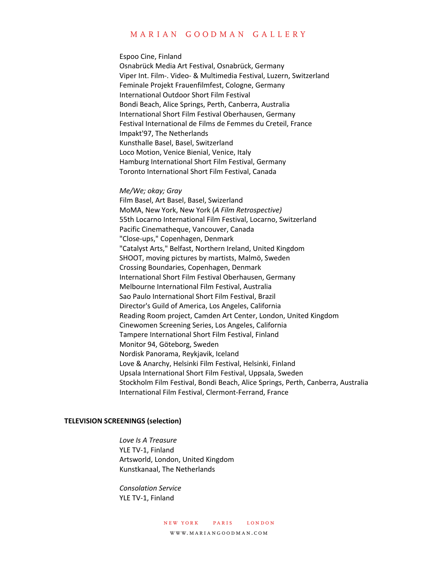#### Espoo Cine, Finland

Osnabrück Media Art Festival, Osnabrück, Germany Viper Int. Film-. Video- & Multimedia Festival, Luzern, Switzerland Feminale Projekt Frauenfilmfest, Cologne, Germany International Outdoor Short Film Festival Bondi Beach, Alice Springs, Perth, Canberra, Australia International Short Film Festival Oberhausen, Germany Festival International de Films de Femmes du Creteil, France Impakt'97, The Netherlands Kunsthalle Basel, Basel, Switzerland Loco Motion, Venice Bienial, Venice, Italy Hamburg International Short Film Festival, Germany Toronto International Short Film Festival, Canada

### *Me/We; okay; Gray*

Film Basel, Art Basel, Basel, Swizerland MoMA, New York, New York (*A Film Retrospective)* 55th Locarno International Film Festival, Locarno, Switzerland Pacific Cinematheque, Vancouver, Canada "Close-ups," Copenhagen, Denmark "Catalyst Arts," Belfast, Northern Ireland, United Kingdom SHOOT, moving pictures by martists, Malmö, Sweden Crossing Boundaries, Copenhagen, Denmark International Short Film Festival Oberhausen, Germany Melbourne International Film Festival, Australia Sao Paulo International Short Film Festival, Brazil Director's Guild of America, Los Angeles, California Reading Room project, Camden Art Center, London, United Kingdom Cinewomen Screening Series, Los Angeles, California Tampere International Short Film Festival, Finland Monitor 94, Göteborg, Sweden Nordisk Panorama, Reykjavik, Iceland Love & Anarchy, Helsinki Film Festival, Helsinki, Finland Upsala International Short Film Festival, Uppsala, Sweden Stockholm Film Festival, Bondi Beach, Alice Springs, Perth, Canberra, Australia International Film Festival, Clermont-Ferrand, France

### **TELEVISION SCREENINGS (selection)**

*Love Is A Treasure* YLE TV-1, Finland Artsworld, London, United Kingdom Kunstkanaal, The Netherlands

*Consolation Service* YLE TV-1, Finland